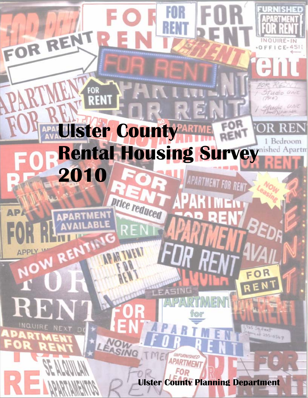# **RENT**  $(7916)$ tudio unic **Ulster County Rental Housing Survey 2010** APARTMENT FOR RENT

price reduced

FOR RENT

AP

**APPI** 

FOR

RE

в

EN:

đ

INQUIRE-IN Ε

If undio Gril

235-0567

**Ulster County Planning Department**

APARTMEN

FOR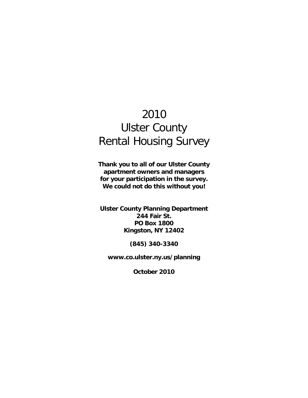## 2010 Ulster County Rental Housing Survey

**Thank you to all of our Ulster County apartment owners and managers for your participation in the survey. We could not do this without you!** 

**Ulster County Planning Department 244 Fair St. PO Box 1800 Kingston, NY 12402** 

**(845) 340-3340** 

**www.co.ulster.ny.us/planning** 

**October 2010**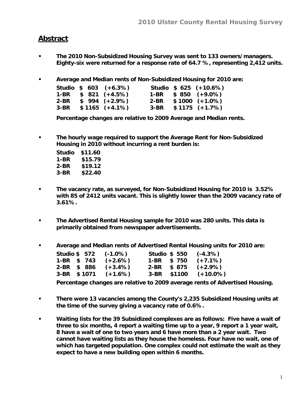#### **Abstract**

- **The 2010 Non-Subsidized Housing Survey was sent to 133 owners/managers. Eighty-six were returned for a response rate of 64.7 %, representing 2,412 units.**
- **Average and Median rents of Non-Subsidized Housing for 2010 are:**

|      | Studio $$603 (+6.3%)$ |  | Studio $$625 (+10.6%)$ |
|------|-----------------------|--|------------------------|
|      | 1-BR $$821 (+4.5%)$   |  | 1-BR $$850 (+9.0\%)$   |
| 2-BR | $$994 (+2.9%)$        |  | $2-BR$ \$1000 (+1.0%)  |
|      | $3-BR$ \$1165 (+4.1%) |  | $3-BR$ \$1175 (+1.7%)  |

**Percentage changes are relative to 2009 Average and Median rents.** 

**• The hourly wage required to support the Average Rent for Non-Subsidized Housing in 2010 without incurring a rent burden is:** 

| Studio | \$11.60 |
|--------|---------|
| 1-BR   | \$15.79 |
| 2-BR   | \$19.12 |
| 3-BR   | \$22.40 |

- **The vacancy rate, as surveyed, for Non-Subsidized Housing for 2010 is 3.52% with 85 of 2412 units vacant. This is slightly lower than the 2009 vacancy rate of 3.61%.**
- **The Advertised Rental Housing sample for 2010 was 280 units. This data is primarily obtained from newspaper advertisements.**
- **Average and Median rents of Advertised Rental Housing units for 2010 are:**

|             |  | Studio \$572 (-1.0%)  | <b>Studio \$ 550</b> |  | $(-4.3%)$                 |
|-------------|--|-----------------------|----------------------|--|---------------------------|
|             |  | 1-BR $$743 (+2.6%)$   | 1-BR \$750           |  | $(+7.1\%)$                |
| 2-BR \$ 886 |  | $(+3.4\%)$            | $2-BR$ \$ 875        |  | $(+2.9\%)$                |
|             |  | $3-BR$ \$1071 (+1.6%) |                      |  | $3-BR$ \$1100 $(+10.0\%)$ |

**Percentage changes are relative to 2009 average rents of Advertised Housing.** 

- **There were 13 vacancies among the County's 2,235 Subsidized Housing units at the time of the survey giving a vacancy rate of 0.6%.**
- **Waiting lists for the 39 Subsidized complexes are as follows: Five have a wait of three to six months, 4 report a waiting time up to a year, 9 report a 1 year wait, 8 have a wait of one to two years and 6 have more than a 2 year wait. Two cannot have waiting lists as they house the homeless. Four have no wait, one of which has targeted population. One complex could not estimate the wait as they expect to have a new building open within 6 months.**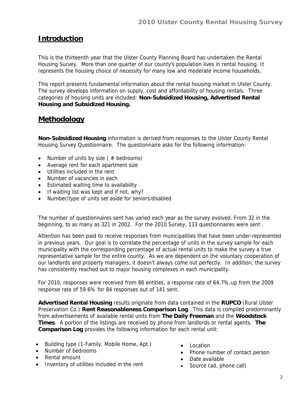### **Introduction**

This is the thirteenth year that the Ulster County Planning Board has undertaken the Rental Housing Survey. More than one quarter of our county's population lives in rental housing. It represents the housing choice of necessity for many low and moderate income households.

This report presents fundamental information about the rental housing market in Ulster County. The survey develops information on supply, cost and affordability of housing rentals. Three categories of housing units are included: **Non-Subsidized Housing, Advertised Rental Housing and Subsidized Housing.** 

#### **Methodology**

**Non-Subsidized Housing** information is derived from responses to the Ulster County Rental Housing Survey Questionnaire. The questionnaire asks for the following information:

- Number of units by size ( $#$  bedrooms)
- Average rent for each apartment size
- Utilities included in the rent
- Number of vacancies in each
- Estimated waiting time to availability
- If waiting list was kept and if not, why?
- Number/type of units set aside for seniors/disabled

The number of questionnaires sent has varied each year as the survey evolved. From 32 in the beginning, to as many as 321 in 2002. For the 2010 Survey, 133 questionnaires were sent .

Attention has been paid to receive responses from municipalities that have been under-represented in previous years. Our goal is to correlate the percentage of units in the survey sample for each municipality with the corresponding percentage of actual rental units to make the survey a true representative sample for the entire county. As we are dependent on the voluntary cooperation of our landlords and property managers, it doesn't always come out perfectly. In addition, the survey has consistently reached out to major housing complexes in each municipality.

For 2010, responses were received from 86 entities, a response rate of 64.7%,up from the 2009 response rate of 59.6% for 84 responses out of 141 sent.

**Advertised Rental Housing** results originate from data contained in the **RUPCO** (Rural Ulster Preservation Co.) **Rent Reasonableness Comparison Log**. This data is compiled predominantly from advertisements of available rental units from **The Daily Freeman** and the **Woodstock Times**. A portion of the listings are received by phone from landlords or rental agents. **The Comparison Log** provides the following information for each rental unit:

- Building type (1-Family, Mobile Home, Apt.)
- Number of bedrooms
- Rental amount
- Inventory of utilities included in the rent
- Location
- Phone number of contact person
- Date available
- Source (ad, phone call)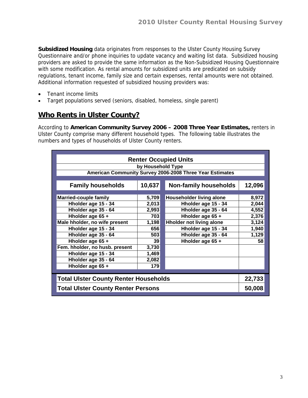**Subsidized Housing** data originates from responses to the Ulster County Housing Survey Questionnaire and/or phone inquiries to update vacancy and waiting list data. Subsidized housing providers are asked to provide the same information as the Non-Subsidized Housing Questionnaire with some modification. As rental amounts for subsidized units are predicated on subsidy regulations, tenant income, family size and certain expenses, rental amounts were not obtained. Additional information requested of subsidized housing providers was:

- Tenant income limits
- Target populations served (seniors, disabled, homeless, single parent)

#### **Who Rents in Ulster County?**

According to **American Community Survey 2006 – 2008 Three Year Estimates,** renters in Ulster County comprise many different household types. The following table illustrates the numbers and types of households of Ulster County renters.

| <b>Renter Occupied Units</b>                             |                   |                                 |        |  |  |  |  |  |  |
|----------------------------------------------------------|-------------------|---------------------------------|--------|--|--|--|--|--|--|
|                                                          | by Household Type |                                 |        |  |  |  |  |  |  |
| American Community Survey 2006-2008 Three Year Estimates |                   |                                 |        |  |  |  |  |  |  |
|                                                          |                   |                                 |        |  |  |  |  |  |  |
| <b>Family households</b>                                 | 10,637            | <b>Non-family households</b>    | 12,096 |  |  |  |  |  |  |
| <b>Married-couple family</b>                             | 5,709             | <b>Householder living alone</b> | 8,972  |  |  |  |  |  |  |
| Hholder age 15 - 34                                      | 2,013             | Hholder age 15 - 34             | 2,044  |  |  |  |  |  |  |
| Hholder age 35 - 64                                      | 2,993             | Hholder age 35 - 64             | 4,552  |  |  |  |  |  |  |
| Hholder age 65 +                                         | 703               | Hholder age 65 +                | 2,376  |  |  |  |  |  |  |
| Male hholder, no wife present                            | 1,198             | <b>Hholder not living alone</b> | 3,124  |  |  |  |  |  |  |
| Hholder age 15 - 34                                      | 656               | Hholder age 15 - 34             | 1,940  |  |  |  |  |  |  |
| Hholder age 35 - 64                                      | 503               | Hholder age 35 - 64             | 1,129  |  |  |  |  |  |  |
| Hholder age 65 +                                         | 39 <sub>l</sub>   | Hholder age 65 +                | 58     |  |  |  |  |  |  |
| Fem. hholder, no husb. present                           | 3,730             |                                 |        |  |  |  |  |  |  |
| Hholder age 15 - 34                                      | 1,469             |                                 |        |  |  |  |  |  |  |
| Hholder age 35 - 64                                      | 2,082             |                                 |        |  |  |  |  |  |  |
| Hholder age 65 +                                         | 179               |                                 |        |  |  |  |  |  |  |
|                                                          |                   |                                 |        |  |  |  |  |  |  |
| <b>Total Ulster County Renter Households</b>             |                   |                                 | 22,733 |  |  |  |  |  |  |
| <b>Total Ulster County Renter Persons</b>                |                   |                                 | 50,008 |  |  |  |  |  |  |
|                                                          |                   |                                 |        |  |  |  |  |  |  |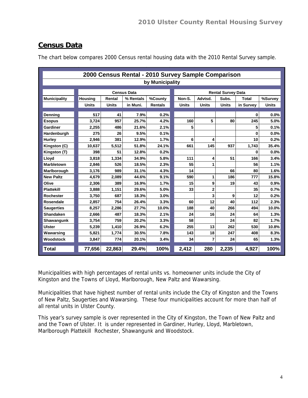## **Census Data**

The chart below compares 2000 Census rental housing data with the 2010 Rental Survey sample.

|                     |                                |              | 2000 Census Rental - 2010 Survey Sample Comparison |                 |                           |                |              |              |              |
|---------------------|--------------------------------|--------------|----------------------------------------------------|-----------------|---------------------------|----------------|--------------|--------------|--------------|
|                     |                                |              |                                                    | by Municipality |                           |                |              |              |              |
|                     |                                |              | <b>Census Data</b>                                 |                 | <b>Rental Survey Data</b> |                |              |              |              |
|                     |                                | Rental       | % Rentals                                          | %County         | Non-S.                    | Advtsd.        | Subs.        | <b>Total</b> | %Survey      |
| <b>Municipality</b> | <b>Housing</b><br><b>Units</b> | <b>Units</b> | in Muni.                                           | <b>Rentals</b>  | <b>Units</b>              | <b>Units</b>   | <b>Units</b> |              | <b>Units</b> |
|                     |                                |              |                                                    |                 |                           |                |              | in Survey    |              |
| Denning             | 517                            | 41           | 7.9%                                               | 0.2%            |                           |                |              | $\mathbf{0}$ | 0.0%         |
| <b>Esopus</b>       | 3,724                          | 957          | 25.7%                                              | 4.2%            | 160                       | 5              | 80           | 245          | 5.0%         |
| Gardiner            | 2,255                          | 486          | 21.6%                                              | 2.1%            | 5                         |                |              | 5            | 0.1%         |
| Hardenburgh         | 275                            | 26           | 9.5%                                               | 0.1%            |                           |                |              | 0            | 0.0%         |
| Hurley              | 2,946                          | 381          | 12.9%                                              | 1.7%            | 6                         | 4              |              | 10           | 0.2%         |
| Kingston (C)        | 10,637                         | 5,512        | 51.8%                                              | 24.1%           | 661                       | 145            | 937          | 1,743        | 35.4%        |
| Kingston (T)        | 398                            | 51           | 12.8%                                              | 0.2%            |                           |                |              | 0            | 0.0%         |
| Lloyd               | 3,818                          | 1,334        | 34.9%                                              | 5.8%            | 111                       | 4              | 51           | 166          | 3.4%         |
| Marbletown          | 2,846                          | 526          | 18.5%                                              | 2.3%            | 55                        | 1              |              | 56           | 1.1%         |
| Marlborough         | 3,176                          | 989          | 31.1%                                              | 4.3%            | 14                        |                | 66           | 80           | 1.6%         |
| <b>New Paltz</b>    | 4,679                          | 2,089        | 44.6%                                              | 9.1%            | 590                       | 1              | 186          | 777          | 15.8%        |
| Olive               | 2,306                          | 389          | 16.9%                                              | 1.7%            | 15                        | 9              | 19           | 43           | 0.9%         |
| <b>Plattekill</b>   | 3,888                          | 1,151        | 29.6%                                              | 5.0%            | 33                        | $\overline{2}$ |              | 35           | 0.7%         |
| Rochester           | 3,750                          | 687          | 18.3%                                              | 3.0%            |                           | 3              | 9            | 12           | 0.2%         |
| Rosendale           | 2,857                          | 754          | 26.4%                                              | 3.3%            | 60                        | 12             | 40           | 112          | 2.3%         |
| <b>Saugerties</b>   | 8,257                          | 2,286        | 27.7%                                              | 10.0%           | 188                       | 40             | 266          | 494          | 10.0%        |
| <b>Shandaken</b>    | 2,666                          | 487          | 18.3%                                              | 2.1%            | 24                        | 16             | 24           | 64           | 1.3%         |
| Shawangunk          | 3,754                          | 759          | 20.2%                                              | 3.3%            | 58                        |                | 24           | 82           | 1.7%         |
| <b>Ulster</b>       | 5,239                          | 1,410        | 26.9%                                              | 6.2%            | 255                       | 13             | 262          | 530          | 10.8%        |
| Wawarsing           | 5,821                          | 1,774        | 30.5%                                              | 7.8%            | 143                       | 18             | 247          | 408          | 8.3%         |
| Woodstock           | 3,847                          | 774          | 20.1%                                              | 3.4%            | 34                        | 7              | 24           | 65           | 1.3%         |
| <b>Total</b>        | 77,656                         | 22,863       | 29.4%                                              | 100%            | 2,412                     | 280            | 2,235        | 4,927        | 100%         |

Municipalities with high percentages of rental units vs. homeowner units include the City of Kingston and the Towns of Lloyd, Marlborough, New Paltz and Wawarsing.

Municipalities that have highest number of rental units include the City of Kingston and the Towns of New Paltz, Saugerties and Wawarsing. These four municipalities account for more than half of all rental units in Ulster County.

This year's survey sample is over represented in the City of Kingston, the Town of New Paltz and and the Town of Ulster. It is under represented in Gardiner, Hurley, Lloyd, Marbletown, Marlborough Plattekill Rochester, Shawangunk and Woodstock.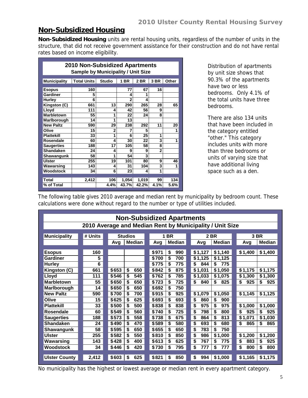#### **Non-Subsidized Housing**

**Non-Subsidized Housing** units are rental housing units, regardless of the number of units in the structure, that did not receive government assistance for their construction and do not have rental rates based on income eligibility.

| 2010 Non-Subsidized Apartments<br><b>Sample by Municipality / Unit Size</b> |                    |                |       |             |                |       |  |  |  |  |  |
|-----------------------------------------------------------------------------|--------------------|----------------|-------|-------------|----------------|-------|--|--|--|--|--|
| <b>Municipality</b>                                                         | <b>Total Units</b> | <b>Studio</b>  | 1 BR  | <b>2 BR</b> | 3 BR           | Other |  |  |  |  |  |
| <b>Esopus</b>                                                               | 160                |                | 77    | 67          | 16             |       |  |  |  |  |  |
| Gardiner                                                                    | 5                  |                | Δ     | 1           |                |       |  |  |  |  |  |
| <b>Hurley</b>                                                               | 6                  |                |       | 4           |                |       |  |  |  |  |  |
| Kingston (C)                                                                | 661                | 13             | 290   | 265         | 28             | 65    |  |  |  |  |  |
| Lloyd                                                                       | 111                | 4              | 42    | 56          | 9              |       |  |  |  |  |  |
| Marbletown                                                                  | 55                 | 1              | 22    | 24          | 8              |       |  |  |  |  |  |
| Marlborough                                                                 | 14                 | 1              | 13    |             |                |       |  |  |  |  |  |
| <b>New Paltz</b>                                                            | 590                | 29             | 238   | 292         | 11             | 20    |  |  |  |  |  |
| Olive                                                                       | 15                 | $\overline{2}$ | 7     | 5           |                | 1     |  |  |  |  |  |
| <b>Plattekill</b>                                                           | 33                 | 1              | 6     | 25          | 1              |       |  |  |  |  |  |
| Rosendale                                                                   | 60                 | 4              | 30    | 22          | 3              | 1     |  |  |  |  |  |
| <b>Saugerties</b>                                                           | 188                | 17             | 105   | 58          | 8              |       |  |  |  |  |  |
| Shandaken                                                                   | 24                 | 4              | 9     | 9           | $\overline{2}$ |       |  |  |  |  |  |
| Shawangunk                                                                  | 58                 | 1              | 54    | 3           |                |       |  |  |  |  |  |
| Ulster                                                                      | 255                | 19             | 101   | 80          | 9              | 46    |  |  |  |  |  |
| Wawarsing                                                                   | 143                | 4              | 31    | 104         | 3              |       |  |  |  |  |  |
| Woodstock                                                                   | 34                 | 6              | 23    | 4           | 1              |       |  |  |  |  |  |
|                                                                             |                    |                |       |             |                |       |  |  |  |  |  |
| Total                                                                       | 2,412              | 106            | 1,054 | 1,019       | 99             | 134   |  |  |  |  |  |
| % of Total                                                                  |                    | 4.4%           | 43.7% | 42.2%       | 4.1%           | 5.6%  |  |  |  |  |  |

Distribution of apartments by unit size shows that 90.3% of the apartments have two or less bedrooms. Only 4.1% of the total units have three bedrooms.

There are also 134 units that have been included in the category entitled "other." This category includes units with more than three bedrooms or units of varying size that have additional living space such as a den.

The following table gives 2010 average and median rent by municipality by bedroom count. These calculations were done without regard to the number or type of utilities included.

| <b>Non-Subsidized Apartments</b> |         |       |                                                          |       |             |           |           |           |               |  |  |  |
|----------------------------------|---------|-------|----------------------------------------------------------|-------|-------------|-----------|-----------|-----------|---------------|--|--|--|
|                                  |         |       | 2010 Average and Median Rent by Municipality / Unit Size |       |             |           |           |           |               |  |  |  |
|                                  |         |       |                                                          |       |             |           |           |           |               |  |  |  |
| <b>Municipality</b>              | # Units |       | <b>Studios</b>                                           |       | <b>1 BR</b> |           | 2 BR      |           | 3 BR          |  |  |  |
|                                  |         | Avg   | Median                                                   | Avg   | Median      | Avq       | Median    | Avq       | <b>Median</b> |  |  |  |
|                                  |         |       |                                                          |       |             |           |           |           |               |  |  |  |
| <b>Esopus</b>                    | 160     |       |                                                          | \$971 | \$<br>990   | \$1,127   | \$1,140   | \$1,400   | \$1,400       |  |  |  |
| Gardiner                         | 5       |       |                                                          | \$700 | \$<br>700   | \$1,125   | \$1,125   |           |               |  |  |  |
| <b>Hurley</b>                    | 6       |       |                                                          | \$775 | \$<br>775   | \$<br>844 | \$<br>775 |           |               |  |  |  |
| Kingston (C)                     | 661     | \$653 | \$<br>650                                                | \$842 | \$<br>875   | \$1,031   | \$1.050   | \$1,175   | \$1,175       |  |  |  |
| Lloyd                            | 111     | \$546 | \$<br>545                                                | \$762 | \$<br>785   | \$1.033   | \$1.075   | \$1,300   | \$1,300       |  |  |  |
| <b>Marbletown</b>                | 55      | \$650 | \$<br>650                                                | \$723 | 725<br>\$   | \$<br>840 | \$<br>825 | \$<br>925 | \$<br>925     |  |  |  |
| Marlborough                      | 14      | \$650 | \$<br>650                                                | \$692 | \$<br>750   |           |           |           |               |  |  |  |
| <b>New Paltz</b>                 | 590     | \$700 | \$<br>700                                                | \$915 | \$<br>925   | \$1,079   | \$1,050   | \$1,145   | \$1,125       |  |  |  |
| Olive                            | 15      | \$625 | \$<br>625                                                | \$693 | \$<br>693   | \$<br>860 | \$<br>900 |           |               |  |  |  |
| <b>Plattekill</b>                | 33      | \$500 | \$<br>500                                                | \$838 | \$<br>838   | \$<br>975 | \$<br>975 | \$1,000   | \$1,000       |  |  |  |
| <b>Rosendale</b>                 | 60      | \$549 | \$<br>560                                                | \$740 | \$<br>725   | \$<br>798 | \$<br>800 | 925<br>\$ | \$<br>925     |  |  |  |
| <b>Saugerties</b>                | 188     | \$573 | \$<br>558                                                | \$738 | \$<br>675   | \$<br>864 | \$<br>813 | \$1,071   | \$1,030       |  |  |  |
| <b>Shandaken</b>                 | 24      | \$490 | \$<br>470                                                | \$589 | \$<br>580   | \$<br>693 | \$<br>680 | \$<br>865 | \$<br>865     |  |  |  |
| Shawangunk                       | 58      | \$595 | \$<br>650                                                | \$655 | \$<br>650   | \$<br>783 | \$<br>750 |           |               |  |  |  |
| <b>Ulster</b>                    | 255     | \$582 | \$<br>550                                                | \$810 | \$<br>850   | \$<br>986 | \$1,000   | \$1,200   | \$1,200       |  |  |  |
| Wawarsing                        | 143     | \$428 | \$<br>400                                                | \$613 | \$<br>625   | \$<br>767 | \$<br>775 | \$<br>883 | \$<br>925     |  |  |  |
| <b>Woodstock</b>                 | 34      | \$446 | \$<br>420                                                | \$730 | \$<br>795   | \$<br>777 | \$<br>777 | \$<br>800 | \$<br>800     |  |  |  |
|                                  |         |       |                                                          |       |             |           |           |           |               |  |  |  |
| <b>Ulster County</b>             | 2,412   | \$603 | \$<br>625                                                | \$821 | \$<br>850   | \$<br>994 | \$1,000   | \$1,165   | \$1,175       |  |  |  |

No municipality has the highest or lowest average or median rent in every apartment category.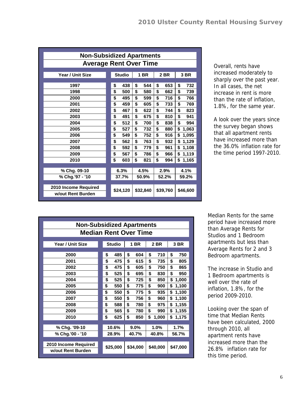| <b>Non-Subsidized Apartments</b>          |               |             |             |          |  |  |  |  |  |
|-------------------------------------------|---------------|-------------|-------------|----------|--|--|--|--|--|
| <b>Average Rent Over Time</b>             |               |             |             |          |  |  |  |  |  |
| Year / Unit Size                          | <b>Studio</b> | <b>1 BR</b> | <b>2 BR</b> | 3 BR     |  |  |  |  |  |
|                                           |               |             |             |          |  |  |  |  |  |
| 1997                                      | 438           | \$          | \$          | \$       |  |  |  |  |  |
|                                           | \$            | 544         | 653         | 732      |  |  |  |  |  |
| 1998                                      | \$            | \$          | \$          | \$       |  |  |  |  |  |
|                                           | 500           | 580         | 662         | 739      |  |  |  |  |  |
| 2000                                      | \$            | \$          | \$          | \$       |  |  |  |  |  |
|                                           | 495           | 599         | 716         | 766      |  |  |  |  |  |
| 2001                                      | \$            | \$          | \$          | \$       |  |  |  |  |  |
|                                           | 459           | 605         | 733         | 769      |  |  |  |  |  |
| 2002                                      | \$            | \$          | \$          | \$       |  |  |  |  |  |
|                                           | 467           | 622         | 744         | 823      |  |  |  |  |  |
| 2003                                      | \$            | \$          | \$          | \$       |  |  |  |  |  |
|                                           | 491           | 675         | 810         | 941      |  |  |  |  |  |
| 2004                                      | \$            | \$          | \$          | \$       |  |  |  |  |  |
|                                           | 512           | 700         | 838         | 994      |  |  |  |  |  |
| 2005                                      | \$            | \$          | \$          | \$       |  |  |  |  |  |
|                                           | 527           | 732         | 880         | 1,063    |  |  |  |  |  |
| 2006                                      | \$            | \$          | \$          | \$       |  |  |  |  |  |
|                                           | 549           | 752         | 916         | 1,095    |  |  |  |  |  |
| 2007                                      | \$            | \$          | \$          | \$       |  |  |  |  |  |
|                                           | 562           | 763         | 932         | 1,129    |  |  |  |  |  |
| 2008                                      | \$            | \$          | \$          | \$       |  |  |  |  |  |
|                                           | 592           | 779         | 961         | 1,108    |  |  |  |  |  |
| 2009                                      | \$            | \$          | \$          | \$       |  |  |  |  |  |
|                                           | 567           | 786         | 966         | 1,119    |  |  |  |  |  |
| 2010                                      | \$            | \$          | \$          | \$       |  |  |  |  |  |
|                                           | 603           | 821         | 994         | 1,165    |  |  |  |  |  |
|                                           |               |             |             |          |  |  |  |  |  |
| % Chg. 09-10                              | 6.3%          | 4.5%        | 2.9%        | 4.1%     |  |  |  |  |  |
| % Chg.'97 - '10                           | 37.7%         | 50.9%       | 52.2%       | 59.2%    |  |  |  |  |  |
| 2010 Income Required<br>w/out Rent Burden | \$24,120      | \$32,840    | \$39,760    | \$46,600 |  |  |  |  |  |

Overall, rents have increased moderately to sharply over the past year. In all cases, the net increase in rent is more than the rate of inflation, 1.8%, for the same year.

A look over the years since the survey began shows that all apartment rents have increased more than the 36.0% inflation rate for the time period 1997-2010.

| <b>Non-Subsidized Apartments</b>          |    |               |    |          |    |          |    |          |  |  |
|-------------------------------------------|----|---------------|----|----------|----|----------|----|----------|--|--|
| <b>Median Rent Over Time</b>              |    |               |    |          |    |          |    |          |  |  |
| Year / Unit Size                          |    | <b>Studio</b> |    | 1 BR     |    | 2 BR     |    | 3 BR     |  |  |
| 2000                                      | \$ | 485           | \$ | 604      | \$ | 710      | \$ | 750      |  |  |
| 2001                                      | \$ | 475           | \$ | 615      | \$ | 735      | \$ | 805      |  |  |
| 2002                                      | \$ | 475           | \$ | 605      | \$ | 750      | \$ | 865      |  |  |
| 2003                                      | \$ | 525           | \$ | 695      | \$ | 830      | \$ | 950      |  |  |
| 2004                                      | \$ | 525           | \$ | 725      | \$ | 850      | \$ | 1,000    |  |  |
| 2005                                      | \$ | 550           | \$ | 775      | \$ | 900      | \$ | 1,100    |  |  |
| 2006                                      | \$ | 550           | \$ | 775      | \$ | 935      | \$ | 1,100    |  |  |
| 2007                                      | \$ | 550           | \$ | 756      | \$ | 960      | \$ | 1,100    |  |  |
| 2008                                      | \$ | 588           | \$ | 780      | \$ | 975      | \$ | 1,155    |  |  |
| 2009                                      | \$ | 565           | \$ | 780      | \$ | 990      | \$ | 1,155    |  |  |
| 2010                                      | \$ | 625           | \$ | 850      | \$ | 1,000    | \$ | 1,175    |  |  |
|                                           |    |               |    |          |    |          |    |          |  |  |
| % Chg. '09-10                             |    | 10.6%         |    | $9.0\%$  |    | 1.0%     |    | 1.7%     |  |  |
| % Chg.'00 - '10                           |    | 28.9%         |    | 40.7%    |    | 40.8%    |    | 56.7%    |  |  |
| 2010 Income Required<br>w/out Rent Burden |    | \$25,000      |    | \$34,000 |    | \$40,000 |    | \$47,000 |  |  |

Median Rents for the same period have increased more than Average Rents for Studios and 1 Bedroom apartments but less than Average Rents for 2 and 3 Bedroom apartments.

The increase in Studio and 1 Bedroom apartments is well over the rate of inflation, 1.8%, for the period 2009-2010.

Looking over the span of time that Median Rents have been calculated, 2000 through 2010, all apartment rents have increased more than the 26.8% inflation rate for this time period.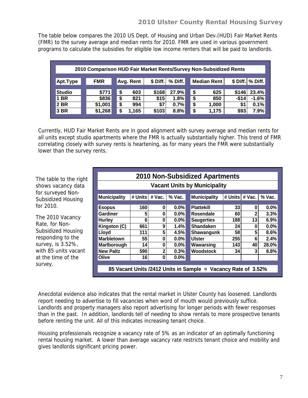The table below compares the 2010 US Dept. of Housing and Urban Dev.(HUD) Fair Market Rents (FMR) to the survey average and median rents for 2010. FMR are used in various government programs to calculate the subsidies for eligible low income renters that will be paid to landlords.

| 2010 Comparison HUD Fair Market Rents/Survey Non-Subsidized Rents |            |             |                       |                    |                     |  |  |  |  |  |  |
|-------------------------------------------------------------------|------------|-------------|-----------------------|--------------------|---------------------|--|--|--|--|--|--|
| Apt.Type                                                          | <b>FMR</b> | Avg. Rent   | \$ Diff.<br>$%$ Diff. | <b>Median Rent</b> | \$ Diff.   % Diff.  |  |  |  |  |  |  |
|                                                                   |            |             |                       |                    |                     |  |  |  |  |  |  |
| <b>Studio</b>                                                     | \$771      | 603<br>S    | \$168<br>27.9%        | \$<br>625          | 23.4%<br>\$146      |  |  |  |  |  |  |
| 1 BR                                                              | \$836      | S<br>821    | 1.8%<br>\$15          | \$<br>850          | $-$ \$14<br>$-1.6%$ |  |  |  |  |  |  |
| 2 BR                                                              | \$1,001    | 994<br>S    | \$7<br>0.7%           | \$<br>1,000        | 0.1%<br>\$1         |  |  |  |  |  |  |
| <b>3 BR</b>                                                       | \$1,268    | 1,165<br>\$ | \$103<br>8.8%         | \$<br>1.175        | \$93<br>7.9%        |  |  |  |  |  |  |

Currently, HUD Fair Market Rents are in good alignment with survey average and median rents for all units except studio apartments where the FMR is actually substantially higher. This trend of FMR correlating closely with survey rents is heartening, as for many years the FMR were substantially lower than the survey rents.

The table to the right shows vacancy data for surveyed Non-Subsidized Housing for 2010.

The 2010 Vacancy Rate, for Non-Subsidized Housing responding to the survey, is 3.52%, with 85 units vacant at the time of the survey.

|                                                                                                            | <b>2010 Non-Subsidized Apartments</b> |              |         |  |                                                               |     |    |         |  |  |  |  |
|------------------------------------------------------------------------------------------------------------|---------------------------------------|--------------|---------|--|---------------------------------------------------------------|-----|----|---------|--|--|--|--|
|                                                                                                            | <b>Vacant Units by Municipality</b>   |              |         |  |                                                               |     |    |         |  |  |  |  |
| <b>Municipality</b><br><b>Municipality</b><br># Units<br># Units<br># Vac.<br>$%$ Vac.<br># Vac.<br>% Vac. |                                       |              |         |  |                                                               |     |    |         |  |  |  |  |
| <b>Esopus</b>                                                                                              | 160                                   | 0            | $0.0\%$ |  | <b>Plattekill</b>                                             | 33  | 0  | 0.0%    |  |  |  |  |
| <b>Gardiner</b>                                                                                            | 5                                     | 0            | $0.0\%$ |  | Rosendale                                                     | 60  | 2  | 3.3%    |  |  |  |  |
| <b>Hurley</b>                                                                                              | 6                                     | 0            | $0.0\%$ |  | <b>Saugerties</b>                                             | 188 | 13 | 6.9%    |  |  |  |  |
| Kingston (C)                                                                                               | 661                                   | 9            | 1.4%    |  | <b>Shandaken</b>                                              | 24  | 0  | $0.0\%$ |  |  |  |  |
| Lloyd                                                                                                      | 111                                   | 5            | 4.5%    |  | Shawangunk                                                    | 58  | 5  | 8.6%    |  |  |  |  |
| <b>Marbletown</b>                                                                                          | 55                                    | 0            | $0.0\%$ |  | <b>Ulster</b>                                                 | 255 | 6  | 2.4%    |  |  |  |  |
| Marlborough                                                                                                | 14                                    | 0            | 0.0%    |  | Wawarsing                                                     | 143 | 40 | 28.0%   |  |  |  |  |
| <b>New Paltz</b>                                                                                           | 590                                   | $\mathbf{2}$ | 0.3%    |  | Woodstock                                                     | 34  | 3  | 8.8%    |  |  |  |  |
| Olive                                                                                                      | 16                                    | 0            | 0.0%    |  |                                                               |     |    |         |  |  |  |  |
|                                                                                                            |                                       |              |         |  | 85 Vacant Units /2412 Units in Sample = Vacancy Rate of 3.52% |     |    |         |  |  |  |  |

Anecdotal evidence also indicates that the rental market in Ulster County has loosened. Landlords report needing to advertise to fill vacancies when word of mouth would previously suffice. Landlords and property managers also report advertising for longer periods with fewer responses than in the past. In addition, landlords tell of needing to show rentals to more prospective tenants before renting the unit. All of this indicates increasing tenant choice.

Housing professionals recognize a vacancy rate of 5% as an indicator of an optimally functioning rental housing market. A lower than average vacancy rate restricts tenant choice and mobility and gives landlords significant pricing power.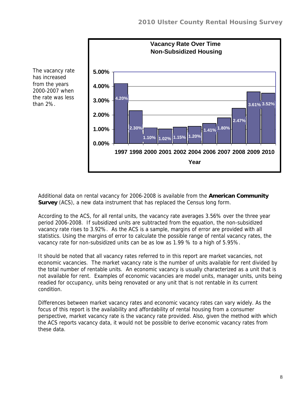

The vacancy rate has increased from the years 2000-2007 when the rate was less than 2%.

> Additional data on rental vacancy for 2006-2008 is available from the **American Community Survey** (ACS), a new data instrument that has replaced the Census long form.

According to the ACS, for all rental units, the vacancy rate averages 3.56% over the three year period 2006-2008. If subsidized units are subtracted from the equation, the non-subsidized vacancy rate rises to 3.92%. As the ACS is a sample, margins of error are provided with all statistics. Using the margins of error to calculate the possible range of rental vacancy rates, the vacancy rate for non-subsidized units can be as low as 1.99 % to a high of 5.95%.

It should be noted that all vacancy rates referred to in this report are market vacancies, not economic vacancies. The market vacancy rate is the number of units available for rent divided by the total number of rentable units. An economic vacancy is usually characterized as a unit that is not available for rent. Examples of economic vacancies are model units, manager units, units being readied for occupancy, units being renovated or any unit that is not rentable in its current condition.

Differences between market vacancy rates and economic vacancy rates can vary widely. As the focus of this report is the availability and affordability of rental housing from a consumer perspective, market vacancy rate is the vacancy rate provided. Also, given the method with which the ACS reports vacancy data, it would not be possible to derive economic vacancy rates from these data.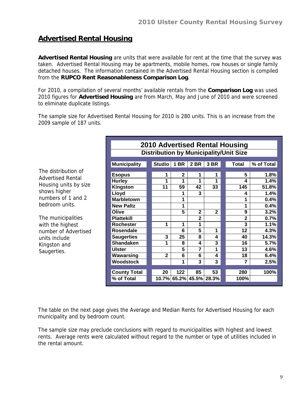## **Advertised Rental Housing**

**Advertised Rental Housing** are units that were available for rent at the time that the survey was taken. Advertised Rental Housing may be apartments, mobile homes, row houses or single family detached houses. The information contained in the Advertised Rental Housing section is compiled from the **RUPCO Rent Reasonableness Comparison Log**.

For 2010, a compilation of several months' available rentals from the **Comparison Log** was used. 2010 figures for **Advertised Housing** are from March, May and June of 2010 and were screened to eliminate duplicate listings.

The sample size for Advertised Rental Housing for 2010 is 280 units. This is an increase from the 2009 sample of 187 units.

|                          |                     |              |             |                         |                | <b>2010 Advertised Rental Housing</b>         |            |  |  |  |  |
|--------------------------|---------------------|--------------|-------------|-------------------------|----------------|-----------------------------------------------|------------|--|--|--|--|
|                          |                     |              |             |                         |                | <b>Distribution by Municipality/Unit Size</b> |            |  |  |  |  |
|                          | <b>Municipality</b> | Studio 1 BR  |             | <b>2 BR</b>             | 3 BR           | <b>Total</b>                                  | % of Total |  |  |  |  |
| The distribution of      | <b>Esopus</b>       | 1            | $\mathbf 2$ | 1                       | 1              | 5                                             | 1.8%       |  |  |  |  |
| <b>Advertised Rental</b> | <b>Hurley</b>       | 1            | 1           | 1                       | 1              | 4                                             | 1.4%       |  |  |  |  |
| Housing units by size    | Kingston            | 11           | 59          | 42                      | 33             | 145                                           | 51.8%      |  |  |  |  |
| shows higher             | Lloyd               |              | 1           | 3                       |                | 4                                             | 1.4%       |  |  |  |  |
| numbers of 1 and 2       | <b>Marbletown</b>   |              | 1           |                         |                | 1                                             | 0.4%       |  |  |  |  |
| bedroom units.           | <b>New Paltz</b>    |              | 1           |                         |                | 1                                             | 0.4%       |  |  |  |  |
|                          | Olive               |              | 5           | $\mathbf{2}$            | $\mathbf{2}$   | 9                                             | 3.2%       |  |  |  |  |
| The municipalities       | <b>Plattekill</b>   |              |             | $\mathbf{2}$            |                | $\mathbf 2$                                   | 0.7%       |  |  |  |  |
| with the highest         | <b>Rochester</b>    | 1            | 1           | 1                       |                | 3                                             | 1.1%       |  |  |  |  |
| number of Advertised     | <b>Rosendale</b>    |              | 6           | 5                       | 1              | 12                                            | 4.3%       |  |  |  |  |
| units include            | <b>Saugerties</b>   | 3            | 25          | 8                       | 4              | 40                                            | 14.3%      |  |  |  |  |
| Kingston and             | <b>Shandaken</b>    | 1            | 8           | 4                       | 3              | 16                                            | 5.7%       |  |  |  |  |
| Saugerties.              | <b>Ulster</b>       |              | 5           | 7                       | 1              | 13                                            | 4.6%       |  |  |  |  |
|                          | Wawarsing           | $\mathbf{2}$ | 6           | 6                       | 4              | 18                                            | 6.4%       |  |  |  |  |
|                          | Woodstock           |              | 1           | 3                       | $\overline{3}$ | 7                                             | 2.5%       |  |  |  |  |
|                          |                     |              |             |                         |                |                                               |            |  |  |  |  |
|                          | <b>County Total</b> | 20           | 122         | 85                      | 53             | 280                                           | 100%       |  |  |  |  |
|                          | % of Total          |              |             | 10.7% 65.2% 45.5% 28.3% |                | 100%                                          |            |  |  |  |  |
|                          |                     |              |             |                         |                |                                               |            |  |  |  |  |

The table on the next page gives the Average and Median Rents for Advertised Housing for each municipality and by bedroom count.

The sample size may preclude conclusions with regard to municipalities with highest and lowest rents. Average rents were calculated without regard to the number or type of utilities included in the rental amount.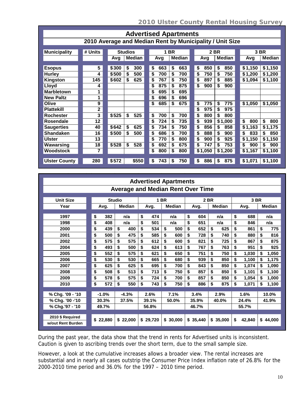| <b>Advertised Apartments</b>                             |                         |       |                |    |     |           |               |  |           |               |  |           |               |
|----------------------------------------------------------|-------------------------|-------|----------------|----|-----|-----------|---------------|--|-----------|---------------|--|-----------|---------------|
| 2010 Average and Median Rent by Municipality / Unit Size |                         |       |                |    |     |           |               |  |           |               |  |           |               |
|                                                          |                         |       |                |    |     |           |               |  |           |               |  |           |               |
| <b>Municipality</b>                                      | # Units                 |       | <b>Studios</b> |    | 1   | <b>BR</b> |               |  | 2 BR      |               |  |           | 3 BR          |
|                                                          |                         | Avg   | <b>Median</b>  |    | Avg |           | <b>Median</b> |  | Avg       | <b>Median</b> |  | Avg       | <b>Median</b> |
|                                                          |                         |       |                |    |     |           |               |  |           |               |  |           |               |
| <b>Esopus</b>                                            | 5                       | \$300 | \$<br>300      | \$ | 663 | \$        | 663           |  | \$<br>850 | \$<br>850     |  | \$1,150   | \$1,150       |
| <b>Hurley</b>                                            | 4                       | \$500 | \$<br>500      | \$ | 700 | \$        | 700           |  | \$<br>750 | \$<br>750     |  | \$1,200   | \$1,200       |
| Kingston                                                 | 145                     | \$602 | \$<br>625      | \$ | 767 | \$        | 750           |  | \$<br>897 | \$<br>885     |  | \$1,094   | \$1,100       |
| Lloyd                                                    | 4                       |       |                | \$ | 875 | \$        | 875           |  | \$<br>900 | \$<br>900     |  |           |               |
| <b>Marbletown</b>                                        | 1                       |       |                | \$ | 695 | \$        | 695           |  |           |               |  |           |               |
| <b>New Paltz</b>                                         | 1                       |       |                | \$ | 696 | \$        | 696           |  |           |               |  |           |               |
| Olive                                                    | 9                       |       |                | \$ | 685 | \$        | 675           |  | \$<br>775 | \$<br>775     |  | \$1,050   | \$1,050       |
| <b>Plattekill</b>                                        | $\mathbf 2$             |       |                |    |     |           |               |  | \$<br>975 | \$<br>975     |  |           |               |
| <b>Rochester</b>                                         | $\overline{\mathbf{3}}$ | \$525 | \$<br>525      | \$ | 700 | \$        | 700           |  | \$<br>800 | \$<br>800     |  |           |               |
| <b>Rosendale</b>                                         | 12                      |       |                | \$ | 724 | \$        | 735           |  | \$<br>939 | \$1,000       |  | \$<br>800 | \$<br>800     |
| <b>Saugerties</b>                                        | 40                      | \$642 | \$<br>625      | \$ | 734 | \$        | 750           |  | \$<br>856 | \$<br>858     |  | \$1,163   | \$1,175       |
| <b>Shandaken</b>                                         | 16                      | \$500 | \$<br>500      | \$ | 686 | \$        | 700           |  | \$<br>888 | \$<br>900     |  | \$<br>833 | \$<br>850     |
| <b>Ulster</b>                                            | 13                      |       |                | \$ | 770 | \$        | 800           |  | \$<br>900 | \$<br>925     |  | \$1,150   | \$1,150       |
| Wawarsing                                                | 18                      | \$528 | \$<br>528      | \$ | 692 | \$        | 675           |  | \$<br>747 | 753<br>\$     |  | \$<br>900 | \$<br>900     |
| <b>Woodstock</b>                                         | 7                       |       |                | \$ | 800 | \$        | 800           |  | \$1,050   | \$1,200       |  | \$1,167   | \$1,100       |
| <b>Ulster County</b>                                     | 280                     | \$572 | \$550          | \$ | 743 | \$        | 750           |  | \$<br>886 | \$<br>875     |  | \$1,071   | \$1,100       |
|                                                          |                         |       |                |    |     |           |               |  |           |               |  |           |               |

| <b>Advertised Apartments</b>             |    |          |               |               |       |          |             |               |      |          |          |               |              |       |       |               |
|------------------------------------------|----|----------|---------------|---------------|-------|----------|-------------|---------------|------|----------|----------|---------------|--------------|-------|-------|---------------|
| <b>Average and Median Rent Over Time</b> |    |          |               |               |       |          |             |               |      |          |          |               |              |       |       |               |
|                                          |    |          |               |               |       |          |             |               |      |          |          |               |              |       |       |               |
| <b>Unit Size</b>                         |    |          | <b>Studio</b> |               |       |          | <b>1 BR</b> |               | 2 BR |          |          |               | 3 BR         |       |       |               |
| Year                                     |    | Avg.     |               | <b>Median</b> |       | Avg.     |             | <b>Median</b> |      | Avg.     |          | <b>Median</b> |              | Avg.  |       | <b>Median</b> |
|                                          |    |          |               |               |       |          |             |               |      |          |          |               |              |       |       |               |
| 1997                                     | \$ | 382      |               | n/a           | \$    | 474      |             | n/a           | \$   | 604      |          | n/a           | \$           | 688   |       | n/a           |
| 1998                                     | \$ | 408      |               | n/a           | \$    | 501      |             | n/a           | \$   | 651      |          | n/a           | \$           | 846   |       | n/a           |
| 2000                                     | \$ | 439      | \$            | 400           | \$    | 534      | \$          | 500           | \$   | 652      | \$       | 625           | \$           | 861   | \$    | 775           |
| 2001                                     | \$ | 500      | \$            | 475           | \$    | 585      | \$          | 600           | \$   | 728      | \$       | 740           | \$           | 880   | \$    | 816           |
| 2002                                     | \$ | 575      | \$            | 575           | \$    | 612      | \$          | 600           | \$   | 821      | \$       | 725           | \$           | 867   | \$    | 875           |
| 2004                                     | \$ | 493      | \$            | 500           | \$    | 624      | \$          | 613           | \$   | 767      | \$       | 763           | \$           | 951   | \$    | 925           |
| 2005                                     | \$ | 552      | \$            | 575           | \$    | 621      | \$          | 650           | \$   | 751      | \$       | 750           | \$           | 1,030 | \$    | 1,050         |
| 2006                                     | \$ | 530      | \$            | 530           | \$    | 665      | \$          | 680           | \$   | 939      | \$       | 850           | \$           | 1,100 | \$    | 1,175         |
| 2007                                     | \$ | 625      | \$            | 625           | \$    | 695      | \$          | 700           | \$   | 843      | \$       | 850           | \$           | 1.074 | \$    | 1,090         |
| 2008                                     | \$ | 508      | \$            | 513           | \$    | 713      | \$          | 750           | \$   | 857      | \$       | 850           | \$           | 1,101 | \$    | 1,100         |
| 2009                                     | \$ | 578      | \$            | 575           | \$    | 724      | \$          | 700           | \$   | 857      | \$       | 850           | \$           | 1.054 | \$    | 1,000         |
| 2010                                     | \$ | 572      | \$            | 550           | \$    | 743      | \$          | 750           | \$   | 886      | \$       | 875           | \$           | 1,071 | \$    | 1,100         |
|                                          |    |          |               |               |       |          |             |               |      |          |          |               |              |       |       |               |
| % Chg. '09 - '10                         |    | $-1.0%$  |               | $-4.3%$       |       | 2.6%     |             | 7.1%          | 3.4% |          | 2.9%     |               | 1.6%         |       | 10.0% |               |
| % Chg. '00 -'10                          |    | 30.3%    | 37.5%         |               | 39.1% |          |             | 50.0%         |      | 35.9%    | 40.0%    |               | 24.4%        |       | 41.9% |               |
| % Chg.'97 - '10                          |    | 49.7%    |               |               |       | 56.8%    |             |               |      | 46.7%    |          |               | 55.7%        |       |       |               |
|                                          |    |          |               |               |       |          |             |               |      |          |          |               |              |       |       |               |
| 2010 \$ Required                         |    | \$22,880 |               | \$22,000      |       | \$29,720 |             | \$30,000      |      | \$35,440 | \$35,000 |               | 42,840<br>\$ |       |       | \$44,000      |
| w/out Rent Burden                        |    |          |               |               |       |          |             |               |      |          |          |               |              |       |       |               |

During the past year, the data show that the trend in rents for Advertised units is inconsistent. Caution is given to ascribing trends over the short term, due to the small sample size.

However, a look at the cumulative increases allows a broader view. The rental increases are substantial and in nearly all cases outstrip the Consumer Price Index inflation rate of 26.8% for the 2000-2010 time period and 36.0% for the 1997 – 2010 time period.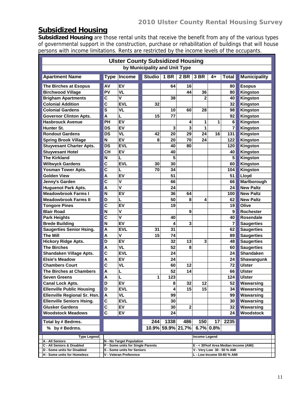## **Subsidized Housing**

**Subsidized Housing** are those rental units that receive the benefit from any of the various types of governmental support in the construction, purchase or rehabilitation of buildings that will house persons with income limitations. Rents are restricted by the income levels of the occupants.

| <b>Ulster County Subsidized Housing</b>                   |                               |                                                                 |               |        |                                                          |               |    |                                       |                     |  |  |  |  |
|-----------------------------------------------------------|-------------------------------|-----------------------------------------------------------------|---------------|--------|----------------------------------------------------------|---------------|----|---------------------------------------|---------------------|--|--|--|--|
|                                                           | by Municipality and Unit Type |                                                                 |               |        |                                                          |               |    |                                       |                     |  |  |  |  |
| <b>Apartment Name</b>                                     | <b>Type</b>                   | Income                                                          | <b>Studio</b> | $1$ BR | 2 BR 3 BR                                                |               | 4+ | Total                                 | <b>Municipality</b> |  |  |  |  |
| The Birches at Esopus                                     | AV                            | EV                                                              |               | 64     | 16                                                       |               |    | 80                                    | <b>Esopus</b>       |  |  |  |  |
| <b>Birchwood Village</b>                                  | PV                            | <b>VL</b>                                                       |               |        | 44                                                       | 36            |    | 80                                    | Kingston            |  |  |  |  |
| <b>Brigham Apartments</b>                                 | C                             | V                                                               |               | 38     |                                                          | 2             |    | 40                                    | Kingston            |  |  |  |  |
| <b>Colonial Addition</b>                                  | $\mathbf c$                   | <b>EVL</b>                                                      | 32            |        |                                                          |               |    | 32                                    | Kingston            |  |  |  |  |
| <b>Colonial Gardens</b>                                   | S                             | VL                                                              |               | 10     | 60                                                       | 28            |    | 98                                    | Kingston            |  |  |  |  |
| <b>Governor Clinton Apts.</b>                             | A                             | L                                                               | 15            | 77     |                                                          |               |    | 92                                    | Kingston            |  |  |  |  |
| <b>Hasbrouck Avenue</b>                                   | PH                            | EV                                                              |               |        | 4                                                        | 1             | 1  | 6                                     | Kingston            |  |  |  |  |
| Hunter St.                                                | <b>DS</b>                     | EV                                                              |               | 3      | 3                                                        | 1             |    | 7                                     | Kingston            |  |  |  |  |
| <b>Rondout Gardens</b>                                    | <b>DS</b>                     | VL                                                              | 42            | 20     | 29                                                       | 24            | 16 | 131                                   | Kingston            |  |  |  |  |
| <b>Spring Brook Village</b>                               | N                             | EV                                                              | 8             | 20     | 70                                                       | 24            |    | 122                                   | Kingston            |  |  |  |  |
| <b>Stuyvesant Charter Apts.</b>                           | <b>DS</b>                     | <b>EVL</b>                                                      |               | 40     | 80                                                       |               |    | 120                                   | Kingston            |  |  |  |  |
| <b>Stuyvesant Hotel</b>                                   | <b>CH</b>                     | EV                                                              |               | 40     |                                                          |               |    | 40                                    | Kingston            |  |  |  |  |
| <b>The Kirkland</b>                                       | N                             | L                                                               |               | 5      |                                                          |               |    | 5                                     | Kingston            |  |  |  |  |
| <b>Wiltwyck Gardens</b>                                   | C                             | <b>EVL</b>                                                      | 30            | 30     |                                                          |               |    | 60                                    | Kingston            |  |  |  |  |
| <b>Yosman Tower Apts.</b>                                 | $\overline{\mathbf{c}}$       | L                                                               | 70            | 34     |                                                          |               |    | 104                                   | Kingston            |  |  |  |  |
| <b>Golden View</b>                                        | A                             | EV                                                              |               | 51     |                                                          |               |    | 51                                    | Lloyd               |  |  |  |  |
| Jenny's Garden                                            | C                             | ٧                                                               |               | 66     |                                                          |               |    | 66                                    | Marlborough         |  |  |  |  |
| <b>Huguenot Park Apts.</b>                                | A                             | V                                                               |               | 24     |                                                          |               |    | 24                                    | <b>New Paltz</b>    |  |  |  |  |
| <b>Meadowbrook Farms I</b>                                | N                             | EV                                                              |               | 36     | 64                                                       |               |    | 100                                   | <b>New Paltz</b>    |  |  |  |  |
| <b>Meadowbrook Farms II</b>                               | D                             | L                                                               |               | 50     | 8                                                        | 4             |    | 62                                    | <b>New Paltz</b>    |  |  |  |  |
| <b>Tongore Pines</b>                                      | C                             | EV                                                              |               | 19     |                                                          |               |    | 19                                    | Olive               |  |  |  |  |
| <b>Blair Road</b>                                         | N                             | ٧                                                               |               |        | 9                                                        |               |    | 9                                     | <b>Rochester</b>    |  |  |  |  |
| <b>Park Heights</b>                                       | C                             | V                                                               |               | 40     |                                                          |               |    | 40                                    | <b>Rosendale</b>    |  |  |  |  |
| <b>Brede Building</b>                                     | N                             | EV                                                              |               | 4      | 3                                                        |               |    | 7                                     | <b>Saugerties</b>   |  |  |  |  |
| <b>Saugerties Senior Hsing.</b>                           | A                             | <b>EVL</b>                                                      | 31            | 31     |                                                          |               |    | 62                                    | <b>Saugerties</b>   |  |  |  |  |
| <b>The Mill</b>                                           | A                             | ٧                                                               | 15            | 74     |                                                          |               |    | 89                                    | <b>Saugerties</b>   |  |  |  |  |
| <b>Hickory Ridge Apts.</b>                                | D                             | EV                                                              |               | 32     | 13                                                       | 3             |    | 48                                    | <b>Saugerties</b>   |  |  |  |  |
| <b>The Birches</b>                                        | A                             | VL                                                              |               | 52     | 8                                                        |               |    | 60                                    | <b>Saugerties</b>   |  |  |  |  |
| Shandaken Village Apts.                                   | $\mathbf c$                   | <b>EVL</b>                                                      |               | 24     |                                                          |               |    | 24                                    | Shandaken           |  |  |  |  |
| <b>Elsie's Meadow</b>                                     | A                             | EV                                                              |               | 24     |                                                          |               |    | 24                                    | Shawangunk          |  |  |  |  |
| <b>Chambers Court</b>                                     | $\overline{c}$                | VL                                                              |               | 60     | 12                                                       |               |    | 72                                    | <b>Ulster</b>       |  |  |  |  |
| The Birches at Chambers                                   | A                             | L                                                               |               | 52     | 14                                                       |               |    | 66                                    | <b>Ulster</b>       |  |  |  |  |
| <b>Seven Greens</b>                                       | A                             | L                                                               | 1             | 123    |                                                          |               |    | 124                                   | <b>Ulster</b>       |  |  |  |  |
| <b>Canal Lock Apts.</b>                                   | D                             | EV                                                              |               | 8      | 32                                                       | 12            |    | 52                                    | Wawarsing           |  |  |  |  |
| <b>Ellenville Public Housing</b>                          | D                             | <b>EVL</b>                                                      |               | 4      | 15                                                       | 15            |    | 34                                    | Wawarsing           |  |  |  |  |
| Ellenville Regional Sr. Hsn.                              | A                             | VL                                                              |               | 99     |                                                          |               |    | 99                                    | Wawarsing           |  |  |  |  |
| <b>Ellenville Seniors Hsing.</b>                          | C                             | <b>EVL</b>                                                      |               | 30     |                                                          |               |    | 30                                    | Wawarsing           |  |  |  |  |
| <b>Glusker Gardens</b>                                    | C                             | EV                                                              |               | 30     | 2                                                        |               |    | 32                                    | Wawarsing           |  |  |  |  |
| <b>Woodstock Meadows</b>                                  | C                             | EV                                                              |               | 24     |                                                          |               |    | 24                                    | Woodstock           |  |  |  |  |
| Total by # Bedrms.                                        |                               |                                                                 | 244           | 1338   | 486                                                      | 150           | 17 | 2235                                  |                     |  |  |  |  |
| % by # Bedrms.                                            | 10.9% 59.9% 21.7%             |                                                                 |               |        |                                                          | 6.7% 0.8%     |    |                                       |                     |  |  |  |  |
| <b>Type Legend</b>                                        |                               |                                                                 |               |        |                                                          | Income Legend |    |                                       |                     |  |  |  |  |
| A - All Seniors                                           |                               | N - No Target Population                                        |               |        |                                                          |               |    |                                       |                     |  |  |  |  |
| C - All Seniors & Disabled<br>D - Some units for Disabled |                               | P - Some units for Single Parents<br>S - Some units for Seniors |               |        |                                                          |               |    | E - < 30% of Area Median Income (AMI) |                     |  |  |  |  |
| H - Some units for Homeless                               |                               | V - Veteran Preference                                          |               |        | V - Very Low 30 - 50 % AMI<br>L - Low Income 50-80 % AMI |               |    |                                       |                     |  |  |  |  |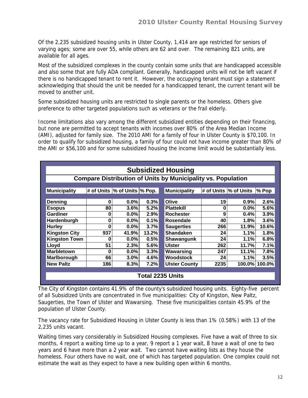Of the 2,235 subsidized housing units in Ulster County, 1,414 are age restricted for seniors of varying ages; some are over 55, while others are 62 and over. The remaining 821 units, are available for all ages.

Most of the subsidized complexes in the county contain some units that are handicapped accessible and also some that are fully ADA compliant. Generally, handicapped units will not be left vacant if there is no handicapped tenant to rent it. However, the occupying tenant must sign a statement acknowledging that should the unit be needed for a handicapped tenant, the current tenant will be moved to another unit.

Some subsidized housing units are restricted to single parents or the homeless. Others give preference to other targeted populations such as veterans or the frail elderly.

Income limitations also vary among the different subsidized entities depending on their financing, but none are permitted to accept tenants with incomes over 80% of the Area Median Income (AMI), adjusted for family size. The 2010 AMI for a family of four in Ulster County is \$70,100. In order to qualify for subsidized housing, a family of four could not have income greater than 80% of the AMI or \$56,100 and for some subsidized housing the income limit would be substantially less.

|                                                                     | <b>Subsidized Housing</b> |                                |       |                         |      |                        |               |  |  |  |  |  |  |
|---------------------------------------------------------------------|---------------------------|--------------------------------|-------|-------------------------|------|------------------------|---------------|--|--|--|--|--|--|
| <b>Compare Distribution of Units by Municipality vs. Population</b> |                           |                                |       |                         |      |                        |               |  |  |  |  |  |  |
|                                                                     |                           |                                |       |                         |      |                        |               |  |  |  |  |  |  |
| Municipality                                                        |                           | # of Units  % of Units  % Pop. |       | Municipality            |      | # of Units  % of Units | ∣% Pop        |  |  |  |  |  |  |
|                                                                     |                           |                                |       |                         |      |                        |               |  |  |  |  |  |  |
| <b>Denning</b>                                                      | $\bf{0}$                  | $0.0\%$                        | 0.3%  | Olive                   | 19   | 0.9%                   | 2.6%          |  |  |  |  |  |  |
| <b>Esopus</b>                                                       | 80                        | 3.6%                           | 5.2%  | <b>Plattekill</b>       | 0    | $0.0\%$                | 5.6%          |  |  |  |  |  |  |
| Gardiner                                                            | 0                         | $0.0\%$                        | 2.9%  | <b>Rochester</b>        | 9    | 0.4%                   | 3.9%          |  |  |  |  |  |  |
| Hardenburgh                                                         | 0                         | $0.0\%$                        | 0.1%  | Rosendale               | 40   | 1.8%                   | 3.6%          |  |  |  |  |  |  |
| <b>Hurley</b>                                                       | O                         | $0.0\%$                        | 3.7%  | <b>Saugerties</b>       | 266  | 11.9%                  | 10.6%         |  |  |  |  |  |  |
| <b>Kingston City</b>                                                | 937                       | 41.9%                          | 13.2% | <b>Shandaken</b>        | 24   | 1.1%                   | 1.8%          |  |  |  |  |  |  |
| <b>Kingston Town</b>                                                | Ω                         | 0.0%                           | 0.5%  | Shawangunk              | 24   | 1.1%                   | 6.8%          |  |  |  |  |  |  |
| Lloyd                                                               | 51                        | 2.3%                           | 5.6%  | <b>Ulster</b>           | 262  | 11.7%                  | 7.1%          |  |  |  |  |  |  |
| <b>Marbletown</b>                                                   | Ω                         | $0.0\%$                        | 3.3%  | Wawarsing               | 247  | 11.1%                  | 7.8%          |  |  |  |  |  |  |
| Marlborough                                                         | 66                        | 3.0%                           | 4.6%  | Woodstock               | 24   | 1.1%                   | 3.5%          |  |  |  |  |  |  |
| <b>New Paltz</b>                                                    | 186                       | 8.3%                           | 7.2%  | <b>Ulster County</b>    | 2235 |                        | 100.0% 100.0% |  |  |  |  |  |  |
|                                                                     |                           |                                |       |                         |      |                        |               |  |  |  |  |  |  |
|                                                                     |                           |                                |       | <b>Total 2235 Units</b> |      |                        |               |  |  |  |  |  |  |

The City of Kingston contains 41.9% of the county's subsidized housing units. Eighty-five percent of all Subsidized Units are concentrated in five municipalities: City of Kingston, New Paltz, Saugerties, the Town of Ulster and Wawarsing. These five municipalities contain 45.9% of the population of Ulster County.

The vacancy rate for Subsidized Housing in Ulster County is less than 1% (0.58%) with 13 of the 2,235 units vacant.

Waiting times vary considerably in Subsidized Housing complexes. Five have a wait of three to six months, 4 report a waiting time up to a year, 9 report a 1 year wait, 8 have a wait of one to two years and 6 have more than a 2 year wait. Two cannot have waiting lists as they house the homeless. Four others have no wait, one of which has targeted population. One complex could not estimate the wait as they expect to have a new building open within 6 months.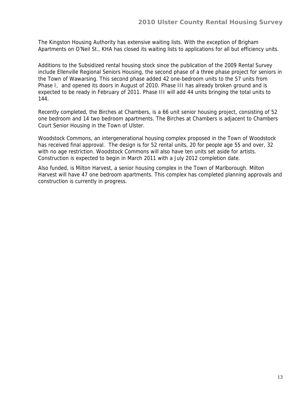The Kingston Housing Authority has extensive waiting lists. With the exception of Brigham Apartments on O'Neil St., KHA has closed its waiting lists to applications for all but efficiency units.

Additions to the Subsidized rental housing stock since the publication of the 2009 Rental Survey include Ellenville Regional Seniors Housing, the second phase of a three phase project for seniors in the Town of Wawarsing. This second phase added 42 one-bedroom units to the 57 units from Phase I, and opened its doors in August of 2010. Phase III has already broken ground and is expected to be ready in February of 2011. Phase III will add 44 units bringing the total units to 144.

Recently completed, the Birches at Chambers, is a 66 unit senior housing project, consisting of 52 one bedroom and 14 two bedroom apartments. The Birches at Chambers is adjacent to Chambers Court Senior Housing in the Town of Ulster.

Woodstock Commons, an intergenerational housing complex proposed in the Town of Woodstock has received final approval. The design is for 52 rental units, 20 for people age 55 and over, 32 with no age restriction. Woodstock Commons will also have ten units set aside for artists. Construction is expected to begin in March 2011 with a July 2012 completion date.

Also funded, is Milton Harvest, a senior housing complex in the Town of Marlborough. Milton Harvest will have 47 one bedroom apartments. This complex has completed planning approvals and construction is currently in progress.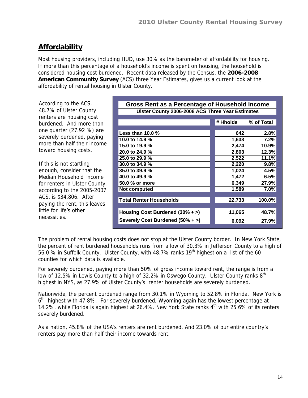## **Affordability**

Most housing providers, including HUD, use 30% as the barometer of affordability for housing. If more than this percentage of a household's income is spent on housing, the household is considered housing cost burdened. Recent data released by the Census, the **2006-2008 American Community Survey** (ACS) three Year Estimates, gives us a current look at the affordability of rental housing in Ulster County.

According to the ACS, 48.7% of Ulster County renters are housing cost burdened. And more than one quarter (27.92 %) are severely burdened, paying more than half their income toward housing costs.

If this is not startling enough, consider that the Median Household Income for renters in Ulster County, according to the 2005-2007 ACS, is \$34,806. After paying the rent, this leaves little for life's other necessities.

| Gross Rent as a Percentage of Household Income   |          |            |  |  |  |  |  |  |
|--------------------------------------------------|----------|------------|--|--|--|--|--|--|
| Ulster County 2006-2008 ACS Three Year Estimates |          |            |  |  |  |  |  |  |
|                                                  |          |            |  |  |  |  |  |  |
|                                                  | # Hholds | % of Total |  |  |  |  |  |  |
|                                                  |          |            |  |  |  |  |  |  |
| Less than 10.0 $%$                               | 642      | 2.8%       |  |  |  |  |  |  |
| 10.0 to 14.9 %                                   | 1,638    | 7.2%       |  |  |  |  |  |  |
| 15.0 to 19.9 %                                   | 2,474    | 10.9%      |  |  |  |  |  |  |
| 20.0 to 24.9 %                                   | 2,803    | 12.3%      |  |  |  |  |  |  |
| 25.0 to 29.9 %                                   | 2,522    | 11.1%      |  |  |  |  |  |  |
| 30.0 to 34.9 %                                   | 2,220    | 9.8%       |  |  |  |  |  |  |
| 35.0 to 39.9 %                                   | 1,024    | 4.5%       |  |  |  |  |  |  |
| 40.0 to 49.9 %                                   | 1,472    | 6.5%       |  |  |  |  |  |  |
| 50.0 % or more                                   | 6,349    | 27.9%      |  |  |  |  |  |  |
| Not computed                                     | 1,589    | 7.0%       |  |  |  |  |  |  |
|                                                  |          |            |  |  |  |  |  |  |
| <b>Total Renter Households</b>                   | 22,733   | 100.0%     |  |  |  |  |  |  |
|                                                  |          |            |  |  |  |  |  |  |
| Housing Cost Burdened $(30\% + )$                | 11,065   | 48.7%      |  |  |  |  |  |  |
| Severely Cost Burdened (50% + >)                 | 6,092    | 27.9%      |  |  |  |  |  |  |

The problem of rental housing costs does not stop at the Ulster County border. In New York State, the percent of rent burdened households runs from a low of 30.3% in Jefferson County to a high of 56.0 % in Suffolk County. Ulster County, with 48.7% ranks  $19<sup>th</sup>$  highest on a list of the 60 counties for which data is available.

For severely burdened, paying more than 50% of gross income toward rent, the range is from a low of 12.5% in Lewis County to a high of 32.2% in Oswego County. Ulster County ranks  $8<sup>th</sup>$ highest in NYS, as 27.9% of Ulster County's renter households are severely burdened.

Nationwide, the percent burdened range from 30.1% in Wyoming to 52.8% in Florida. New York is 6<sup>th</sup> highest with 47.8%. For severely burdened, Wyoming again has the lowest percentage at 14.2%, while Florida is again highest at 26.4%. New York State ranks 4<sup>th</sup> with 25.6% of its renters severely burdened.

As a nation, 45.8% of the USA's renters are rent burdened. And 23.0% of our entire country's renters pay more than half their income towards rent.